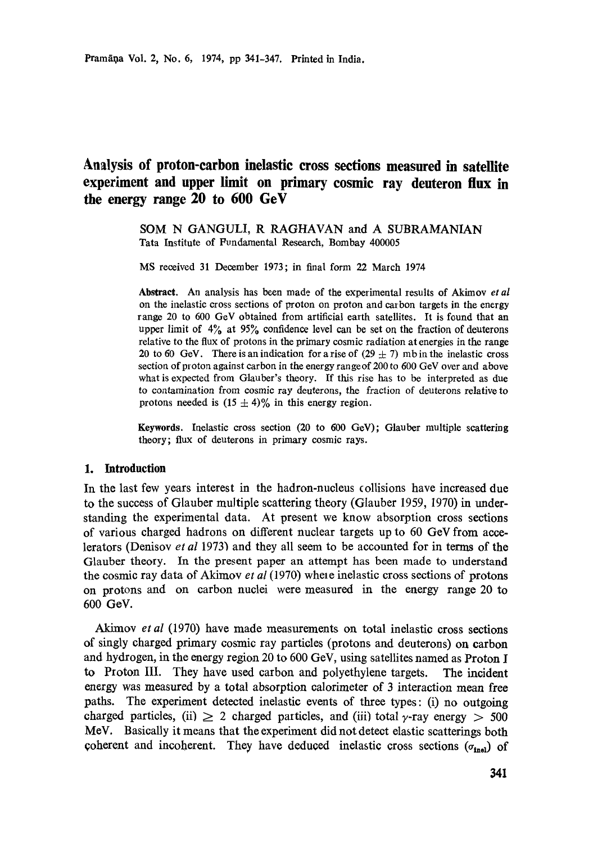# **Analysis of proton-carbon inelastic cross sections measured in satellite experiment and upper limit on primary cosmic ray deuteron flux in the energy range 20 to 600 GeV**

SOM N GANGULI, R RAGHAVAN and A SUBRAMANIAN Tata Institute of Fundamental Research, Bombay 400005

MS received 31 December 1973; in final form 22 March 1974

**Abstract.** An analysis has been made of the experimental results of Akimov *et al*  on the inelastic cross sections of proton on proton and cau bon targets in the energy range 20 to 600 GeV obtained from artificial earth satellites. It is found that an upper limit of  $4\%$  at  $95\%$  confidence level can be set on the fraction of deuterons relative to the flux of protons in the primary cosmic radiation at energies in the range 20 to 60 GeV. There is an indication for a rise of  $(29 \pm 7)$  mb in the inelastic cross section of proton against carbon in the energy rangeof 200 to 600 GeV over and above what is expected from Glanber's theory. If this rise has to be interpreted as due to contamination from cosmic ray deuterons, the fraction of deuterons relative to protons needed is  $(15 \pm 4)\%$  in this energy region.

**Keywords.** Inelastic cross section (20 to 600 GeV); Glauber multiple scattering theory; flux of deuterons in primary cosmic rays.

#### 1. **Introduction**

In the last few years interest in the hadron-nueleus collisions have increased due to the success of Glauber multiple scattering theory (Glauber 1959, 1970) in understanding the experimental data. At present we know absorption cross sections of various charged hadrons on different nuclear targets up to 60 GeV from accelerators (Denisov *et al* 1973) and they all seem to be accounted for in terms of the Glauber theory. In the present paper an attempt has been made to understand the cosmic ray data of Akimov *et al* (1970) whele inelastic cross sections of protons on protons and on carbon nuclei were measured in the energy range 20 to 600 GoV.

Akimov *et al* (1970) have made measurements on total inelastic cross sections of singly charged primary cosmic ray particles (protons and deuterons) on carbon and hydrogen, in the energy region 20 to 600 GeV, using satellites named as Proton I to Proton III. They have used carbon and polyethylene targets. The incident energy was measured by a total absorption calorimeter of 3 interaction mean free paths, The experiment detected inelastic events of three types: (i) no outgoing charged particles, (ii)  $\geq$  2 charged particles, and (iii) total y-ray energy  $>$  500 MeV. Basically it means that the experiment did not detect elastic scatterings both coherent and incoherent. They have deduced inelastic cross sections  $(\sigma_{\text{inel}})$  of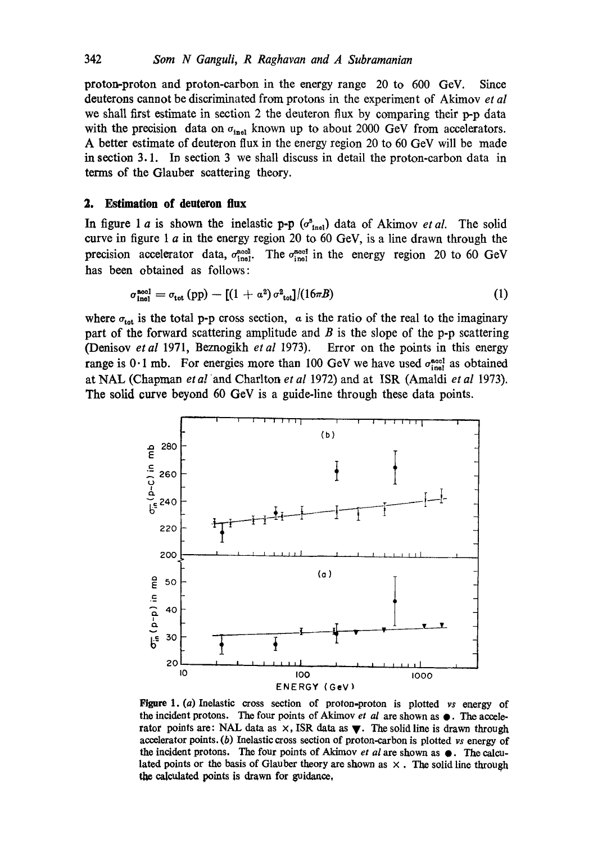proton-proton and proton-carbon in the energy range 20 to 600 GeV. Since deuterons cannot be discriminated from protons in the experiment of Akimov *et al*  we shall first estimate in section 2 the deuteron flux by comparing their p-p data with the precision data on  $\sigma_{\text{inel}}$  known up to about 2000 GeV from accelerators. A better estimate of deuteron flux in the energy region 20 to 60 GeV will be made in section 3.1. In section 3 we shall discuss in detail the proton-carbon data in terms of the Glauber scattering theory.

## **2. Estimation of deuteron flux**

In figure 1 a is shown the inelastic p-p  $(\sigma_{\text{inel}}^s)$  data of Akimov *et al.* The solid curve in figure 1  $a$  in the energy region 20 to 60 GeV, is a line drawn through the precision accelerator data,  $\sigma_{\text{inel}}^{\text{aod}}$ . The  $\sigma_{\text{inel}}^{\text{aod}}$  in the energy region 20 to 60 GeV has been obtained as follows:

$$
\sigma_{\text{inel}}^{\text{aocl}} = \sigma_{\text{tot}} \left( \text{pp} \right) - \left[ \left( 1 + a^2 \right) \sigma_{\text{tot}}^2 \right] / \left( 16 \pi B \right) \tag{1}
$$

where  $\sigma_{\text{tot}}$  is the total p-p cross section, a is the ratio of the real to the imaginary part of the forward scattering amplitude and  $B$  is the slope of the p-p scattering (Denisov *et al* 1971, Beznogikh *et al* 1973). Error on the points in this energy range is  $0.1$  mb. For energies more than 100 GeV we have used  $\sigma_{\text{inel}}^{\text{accl}}$  as obtained at NAL (Chapman *et a!* and Charlton *et aI* 1972) and at ISR (Amaldi *et al* 1973). The solid curve beyond 60 GeV is a guide-line through these data points.



Figure 1. (a) Inelastic cross section of proton-proton is plotted *vs* energy of the incident protons. The four points of Akimov *et al are shown as*  $\bullet$ . The accelerator points are: NAL data as  $\times$ , ISR data as  $\blacktriangledown$ . The solid line is drawn through accelerator points. (b) Inelastic cross section of proton-carbon is plotted *vs* energy of the incident protons. The four points of Akimov *et al* are shown as  $\bullet$ . The calculated points or the basis of Glauber theory are shown as  $\times$ . The solid line through the calculated points is drawn for guidance,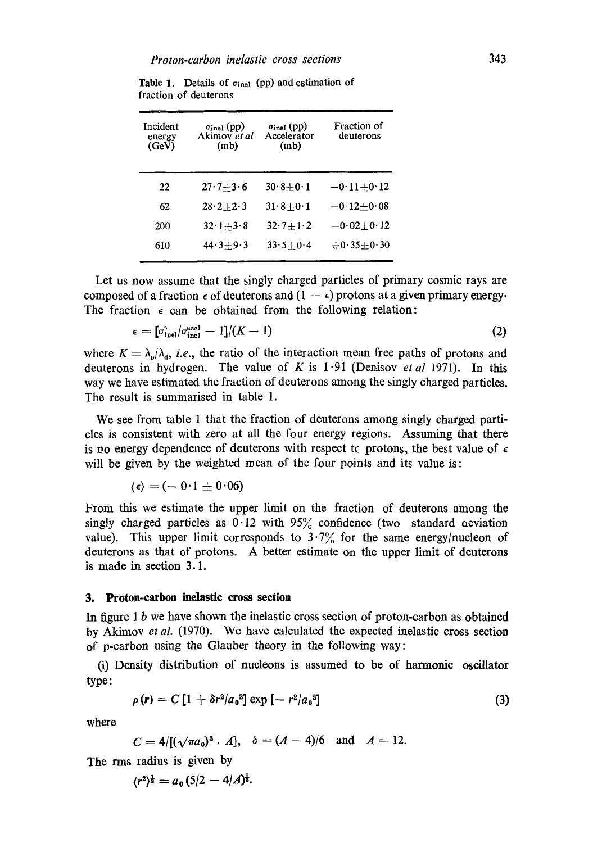| Incident<br>energy<br>(GeV) | $\sigma_{\text{inel}}$ (pp)<br>Akimov et al<br>(m <sub>b</sub> ) | $\sigma_{\text{inel}}$ (pp)<br>Accelerator<br>(m <sub>b</sub> ) | <b>Fraction of</b><br>deuterons |
|-----------------------------|------------------------------------------------------------------|-----------------------------------------------------------------|---------------------------------|
| 22                          | $27.7 + 3.6$                                                     | $30.8 \pm 0.1$                                                  | $-0.11 + 0.12$                  |
| 62                          | $28 \cdot 2 + 2 \cdot 3$                                         | $31.8 + 0.1$                                                    | $-0.12 \pm 0.08$                |
| 200                         | $32 \cdot 1 + 3 \cdot 8$                                         | $32 \cdot 7 + 1 \cdot 2$                                        | $-0.02 + 0.12$                  |
| 610                         | $44.3 + 9.3$                                                     | $33.5 + 0.4$                                                    | $+0.35 + 0.30$                  |
|                             |                                                                  |                                                                 |                                 |

**Table 1.** Details of  $\sigma_{\text{inel}}$  (pp) and estimation of fraction of deuterons

Let us now assume that the singly charged particles of primary cosmic rays are composed of a fraction  $\epsilon$  of deuterons and  $(1 - \epsilon)$  protons at a given primary energy. The fraction  $\epsilon$  can be obtained from the following relation:

$$
\epsilon = [\sigma_{\text{inel}}^{\text{S}} / \sigma_{\text{inel}}^{\text{accl}} - 1]/(K - 1) \tag{2}
$$

where  $K = \lambda_{p}/\lambda_{d}$ , *i.e.*, the ratio of the interaction mean free paths of protons and deuterons in hydrogen. The value of K is 1.91 (Demsov *et al* 1971). In this way we have estimated the fraction of deuterons among the singly charged particles. The result is summarised in table 1.

We see from table 1 that the fraction of deuterons among singly charged particles is consistent with zero at all the four energy regions. Assuming that there is no energy dependence of deuterons with respect tc protons, the best value of  $\epsilon$ will be given by the weighted mean of the four points and its value is:

$$
\langle \epsilon \rangle = (-0.1 \pm 0.06)
$$

From this we estimate the upper limit on the fraction of deuterons among the singly charged particles as  $0.12$  with  $95\%$  confidence (two standard oeviation value). This upper limit corresponds to  $3.7\%$  for the same energy/nucleon of deuterons as that of protons. A better estimate on the upper limit of deuterons **is** made in section 3.1.

### **3. Proton-carbon inelastic cross section**

In figure 1  $b$  we have shown the inelastic cross section of proton-carbon as obtained by Akimov *et al.* (1970). We have calculated the expected inelastic cross section of p-carbon using the Glauber theory in the following way:

(i) Density distribution of nucleons is assumed to be of harmonic oscillator type:

$$
\rho(r) = C \left[ 1 + \delta r^2 / a_0^2 \right] \exp \left[ - r^2 / a_0^2 \right] \tag{3}
$$

where

$$
C = 4/[(\sqrt{\pi a_0})^3 \cdot A], \quad \delta = (A - 4)/6 \quad \text{and} \quad A = 12.
$$

The rms radius is given by

$$
\langle r^2 \rangle^{\frac{1}{2}} = a_0 \left( \frac{5}{2} - \frac{4}{A} \right)^{\frac{1}{2}}.
$$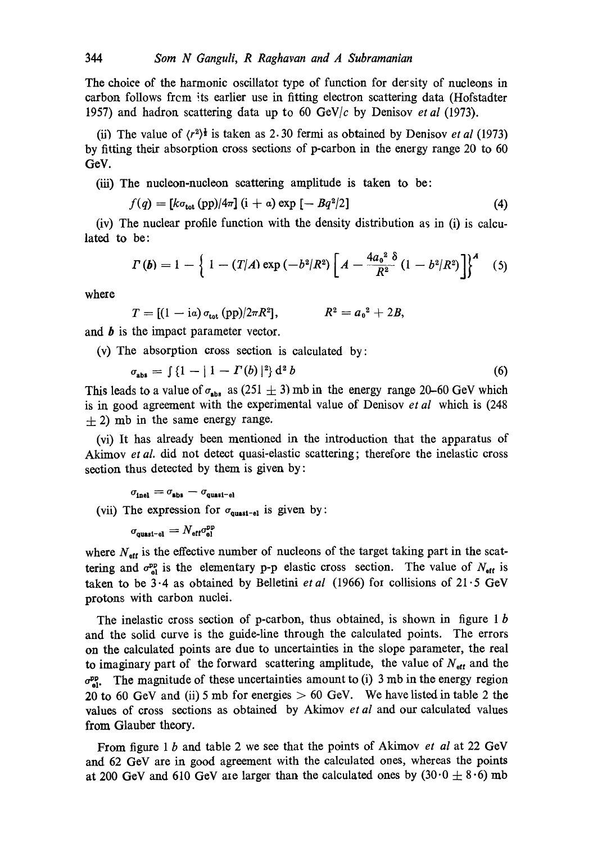The choice of the harmonic oscillator type of function for dersity of nucleons in carbon follows from its earlier use in fitting electron scattering data (Hofstadter 1957) and hadron scattering data up to 60 GeV/c by Denisov *et al* (1973).

(ii) The value of  $(r^2)^{\frac{1}{2}}$  is taken as 2.30 fermi as obtained by Denisov *et al* (1973) by fitting their absorption cross sections of p-carbon in the energy range 20 to 60 GeV.

(iii) The nucleon-nucleon scattering amplitude is taken to be:

$$
f(q) = [k\sigma_{\text{tot}}(pp)/4\pi] (i+a) \exp[-Bq^2/2]
$$
 (4)

(iv) The nuclear profile function with the density distribution as in (i) is calculated to be:

$$
\Gamma(b) = 1 - \left\{ 1 - (T/A) \exp(-b^2/R^2) \left[ A - \frac{4a_0^2 \delta}{R^2} (1 - b^2/R^2) \right] \right\}^A \quad (5)
$$

where

$$
T = [(1 - i\alpha) \sigma_{\text{tot}} (pp)/2\pi R^2], \qquad R^2 = a_0^2 + 2B,
$$

and **b** is the impact parameter vector.

(v) The absorption cross section is calculated by:

$$
\sigma_{\text{abs}} = \int \{1 - |1 - \Gamma(b)|^2\} d^2 b \tag{6}
$$

This leads to a value of  $\sigma_{\text{abs}}$  as (251  $\pm$  3) mb in the energy range 20–60 GeV which is in good agreement with the experimental value of Denisov *et al* which is (248  $\pm$  2) mb in the same energy range.

(vi) It has already been mentioned in the introduction that the apparatus of Akimov *et al.* did not detect quasi-elastic scattering; therefore the inelastic cross section thus detected by them is given by:

$$
\sigma_{\text{inel}} = \sigma_{\text{abs}} - \sigma_{\text{quasi-el}}
$$
\n(vii) The expression for  $\sigma_{\text{quasi-el}}$  is given by:

 $\sigma_{\text{quasi-el}} = N_{\text{eff}} \sigma_{\text{el}}^{\text{pp}}$ 

where  $N_{\text{eff}}$  is the effective number of nucleons of the target taking part in the scattering and  $\sigma_{el}^{op}$  is the elementary p-p elastic cross section. The value of  $N_{\text{eff}}$  is taken to be  $3.4$  as obtained by Belletini *et al* (1966) for collisions of  $21.5$  GeV protons with carbon nuclei.

The inelastic cross section of p-carbon, thus obtained, is shown in figure  $1 b$ and the solid curve is the guide-line through the calculated points. The errors on the calculated points are due to uncertainties in the slope parameter, the real to imaginary part of the forward scattering amplitude, the value of  $N_{\text{eff}}$  and the  $\sigma_{el}^{op}$ . The magnitude of these uncertainties amount to (i) 3 mb in the energy region 20 to 60 GeV and (ii) 5 mb for energies  $> 60$  GeV. We have listed in table 2 the values of cross sections as obtained by Akimov *et al* and our calculated values from Glauber theory.

From figure 1 b and table 2 we see that the points of Akimov *et al* at 22 GeV and 62 GeV are in good agreement with the calculated ones, whereas the points at 200 GeV and 610 GeV are larger than the calculated ones by  $(30.0 \pm 8.6)$  mb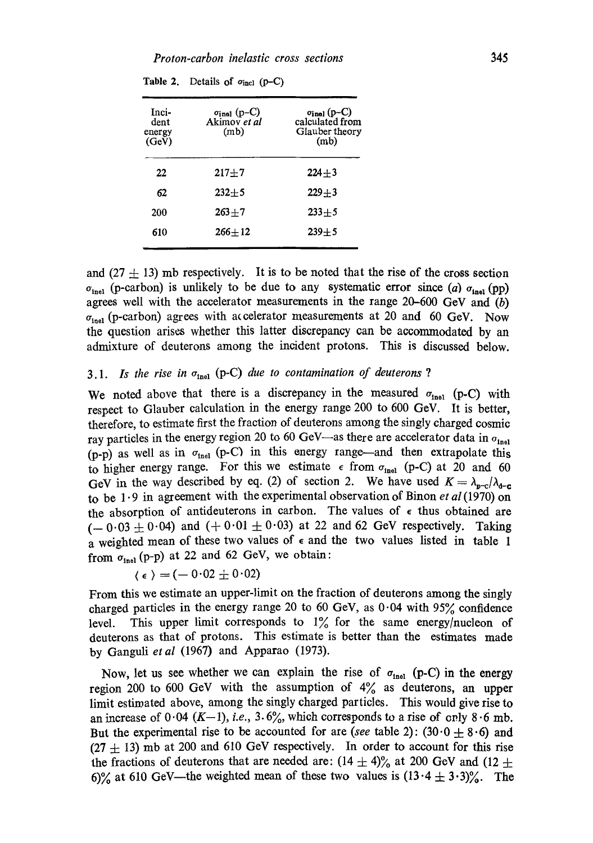| Inci-<br>dent<br>energy<br>(GeV) | $\sigma_{\text{inel}}$ (p-C)<br>Akimov et al<br>(m <sub>b</sub> ) | $\sigma_{\text{inel}}$ (p-C)<br>calculated from<br>Glauber theory<br>(m <sub>b</sub> ) |  |
|----------------------------------|-------------------------------------------------------------------|----------------------------------------------------------------------------------------|--|
| 22                               | $217 + 7$                                                         | $224 + 3$                                                                              |  |
| 62                               | $232 + 5$                                                         | $229 + 3$                                                                              |  |
| 200                              | $263 + 7$                                                         | $233 + 5$                                                                              |  |
| 610                              | $266 + 12$                                                        | $239 + 5$                                                                              |  |
|                                  |                                                                   |                                                                                        |  |

|  |  | Table 2. Details of $\sigma_{\text{incl}}$ (p-C) |  |  |  |
|--|--|--------------------------------------------------|--|--|--|
|--|--|--------------------------------------------------|--|--|--|

and (27  $\pm$  13) mb respectively. It is to be noted that the rise of the cross section  $\sigma_{\text{inel}}$  (p-carbon) is unlikely to be due to any systematic error since (a)  $\sigma_{\text{inel}}$  (pp) agrees well with the accelerator measurements in the range  $20-600$  GeV and  $(b)$  $\sigma_{\text{inel}}$  (p-carbon) agrees with accelerator measurements at 20 and 60 GeV. Now the question arises whether this latter discrepancy can be accommodated by an admixture of deuterons among the incident protons. This is discussed below.

# 3.1. *Is the rise in*  $\sigma_{\text{inel}}$  (p-C) *due to contamination of deuterons* ?

We noted above that there is a discrepancy in the measured  $\sigma_{\text{inel}}$  (p-C) with respect to Glauber calculation in the energy range 200 to 600 GeV. It is better, therefore, to estimate first the fraction of deuterons among the singly charged cosmic ray particles in the energy region 20 to 60 GeV-as there are accelerator data in  $\sigma_{\text{inel}}$ (p-p) as well as in  $\sigma_{\text{inel}}$  (p-C) in this energy range--and then extrapolate this to higher energy range. For this we estimate  $\epsilon$  from  $\sigma_{\text{inel}}$  (p-C) at 20 and 60 GeV in the way described by eq. (2) of section 2. We have used  $K = \lambda_{p-c}/\lambda_{q-c}$ to be 1.9 in agreement with the experimental observation of Binon *et al* (1970) on the absorption of antideuterons in carbon. The values of  $\epsilon$  thus obtained are  $(-0.03 \pm 0.04)$  and  $(+0.01 \pm 0.03)$  at 22 and 62 GeV respectively. Taking a weighted mean of these two values of  $\epsilon$  and the two values listed in table 1 from  $\sigma_{\text{inel}}$  (p-p) at 22 and 62 GeV, we obtain:

$$
\langle \epsilon \rangle = (-0.02 \pm 0.02)
$$

From this we estimate an upper-limit on the fraction of deuterons among the singly charged particles in the energy range 20 to 60 GeV, as  $0.04$  with 95% confidence level. This upper limit corresponds to  $1\%$  for the same energy/nucleon of deuterons as that of protons. This estimate is better than the estimates made by Ganguli *et al* (1967) and Apparao (1973).

Now, let us see whether we can explain the rise of  $\sigma_{\text{inel}}$  (p-C) in the energy region 200 to 600 GeV with the assumption of  $4\%$  as deuterons, an upper limit estimated above, among the singly charged particles. This would give rise to an increase of  $0.04$  (K-1), *i.e.*,  $3.6\%$ , which corresponds to a rise of only  $8.6$  mb. But the experimental rise to be accounted for are *(see table 2)*:  $(30.0 \pm 8.6)$  and  $(27 \pm 13)$  mb at 200 and 610 GeV respectively. In order to account for this rise the fractions of deuterons that are needed are:  $(14 \pm 4)\%$  at 200 GeV and (12  $\pm$ 6)% at 610 GeV—the weighted mean of these two values is  $(13.4 \pm 3.3)$ %. The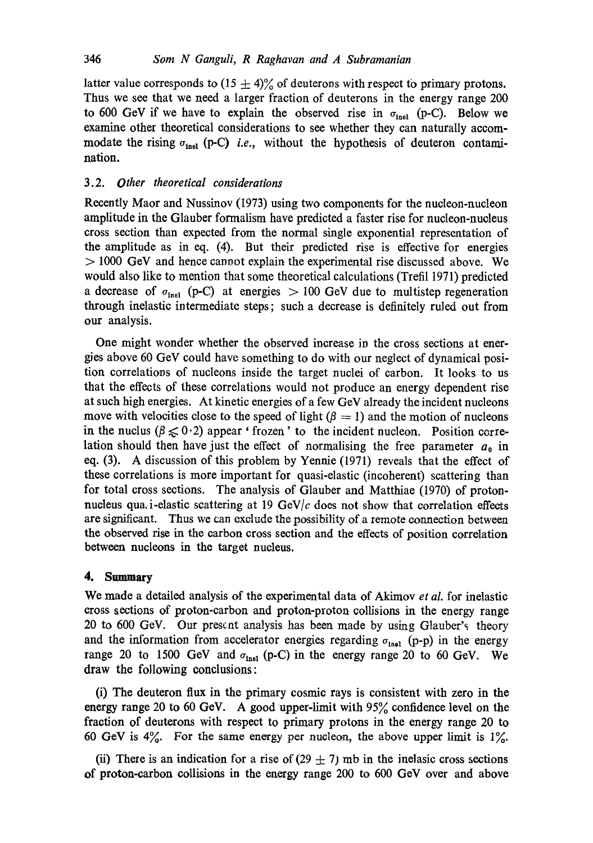latter value corresponds to  $(15 \pm 4)\%$  of deuterons with respect to primary protons. Thus we see that we need a larger fraction of deuterons in the energy range 200 to 600 GeV if we have to explain the observed rise in  $\sigma_{\text{inel}}$  (p-C). Below we examine other theoretical considerations to see whether they can naturally accommodate the rising  $\sigma_{\text{inel}}$  (p-C) *i.e.*, without the hypothesis of deuteron contamination.

## 3.2. *Other theoretical considerations*

Recently Maor and Nussinov (I973) using two components for the nucleon-nucleon amplitude in the Glauber formalism have predicted a faster rise for nucleon-nucleus cross section than expected from the normal single exponential representation of the amplitude as in eq. (4). But their predicted rise is effective for energies > 1000 GeV and hence cannot explain the experimental rise discussed above. We would also like to mention that some theoretical calculations (Trefil 1971) predicted a decrease of  $\sigma_{inel}$  (p-C) at energies > 100 GeV due to multistep regeneration through inelastic intermediate steps; such a decrease is definitely ruled out from our analysis.

One might wonder whether the observed increase in the cross sections at energies above 60 GeV could have something to do with our neglect of dynamical position correlations of nucleons inside the target nuclei of carbon. It looks to us that the effects of these correlations would not produce an energy dependent rise at such high energies. At kinetic energies of a few GeV already the incident nucleons move with velocities close to the speed of light  $(\beta = 1)$  and the motion of nucleons in the nuclus ( $\beta \leq 0.2$ ) appear ' frozen' to the incident nucleon. Position correlation should then have just the effect of normalising the free parameter  $a_0$  in eq. (3). A discussion of this problem by Yennie (1971) reveals that the effect of these correlations is more important for quasi-elastic (incoherent) scattering than for total cross sections. The analysis of Glauber and Matthiae (1970) of protonnucleus qua, i-elastic scattering at 19 GeV/ $c$  does not show that correlation effects are significant. Thus we can exclude the possibility of a remote connection between the observed rise in the carbon cross section and the effects of position correlation between nucleons in the target nucleus.

## **4. Summary**

We made a detailed analysis of the experimental data of Akimov *et al.* for inelastic cross sections of proton-carbon and proton-proton collisions in the energy range 20 to 600 GeV. Our present analysis has been made by using Glauber's theory and the information from accelerator energies regarding  $\sigma_{\text{inel}}$  (p-p) in the energy range 20 to 1500 GeV and  $\sigma_{\text{inel}}$  (p-C) in the energy range 20 to 60 GeV. We draw the following conclusions:

(i) The deuteron flux in the primary cosmic rays is consistent with zero in the energy range 20 to 60 GeV. A good upper-limit with  $95\%$  confidence level on the fraction of deuterons with respect to primary protons in the energy range 20 to 60 GeV is  $4\%$ . For the same energy per nucleon, the above upper limit is  $1\%$ .

(ii) There is an indication for a rise of (29  $\pm$  7) mb in the inelasic cross sections of proton-carbon collisions in the energy range 200 to 600 GeV over and above